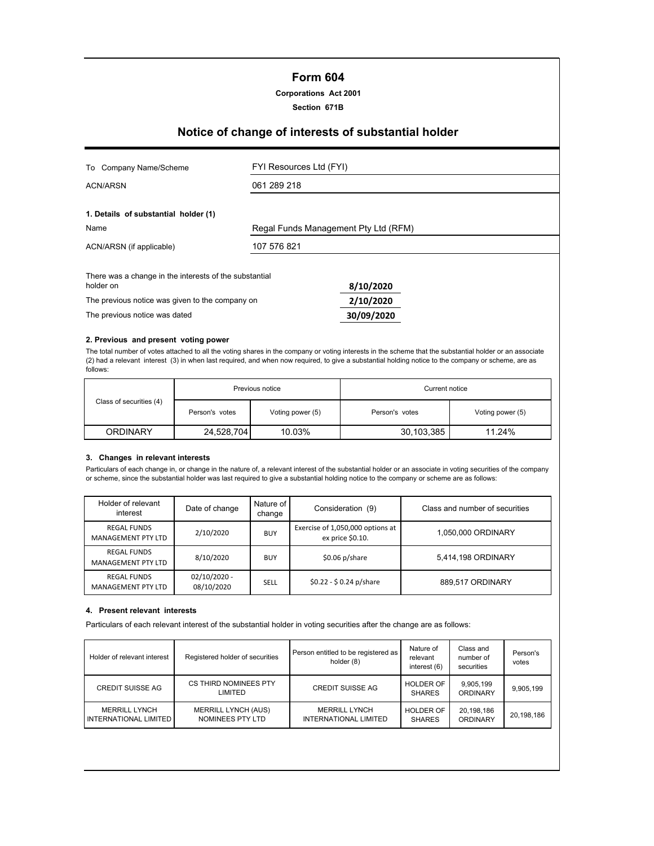# **Form 604**

### **Corporations Act 2001**

**Section 671B**

# **Notice of change of interests of substantial holder**

| Company Name/Scheme<br>To                                           | FYI Resources Ltd (FYI)              |            |  |
|---------------------------------------------------------------------|--------------------------------------|------------|--|
| <b>ACN/ARSN</b>                                                     | 061 289 218                          |            |  |
| 1. Details of substantial holder (1)                                |                                      |            |  |
| Name                                                                | Regal Funds Management Pty Ltd (RFM) |            |  |
| ACN/ARSN (if applicable)                                            | 107 576 821                          |            |  |
| There was a change in the interests of the substantial<br>holder on |                                      | 8/10/2020  |  |
| The previous notice was given to the company on                     |                                      | 2/10/2020  |  |
| The previous notice was dated                                       |                                      | 30/09/2020 |  |

#### **2. Previous and present voting power**

The total number of votes attached to all the voting shares in the company or voting interests in the scheme that the substantial holder or an associate (2) had a relevant interest (3) in when last required, and when now required, to give a substantial holding notice to the company or scheme, are as follows:

|                         | Previous notice |                  | Current notice |                  |  |
|-------------------------|-----------------|------------------|----------------|------------------|--|
| Class of securities (4) | Person's votes  | Voting power (5) | Person's votes | Voting power (5) |  |
| <b>ORDINARY</b>         | 24,528,704      | 10.03%           | 30,103,385     | 11.24%           |  |

## **3. Changes in relevant interests**

Particulars of each change in, or change in the nature of, a relevant interest of the substantial holder or an associate in voting securities of the company or scheme, since the substantial holder was last required to give a substantial holding notice to the company or scheme are as follows:

| Holder of relevant<br>interest                  | Date of change               | Nature of<br>change | Consideration (9)                                    | Class and number of securities |
|-------------------------------------------------|------------------------------|---------------------|------------------------------------------------------|--------------------------------|
| <b>REGAL FUNDS</b><br><b>MANAGEMENT PTY LTD</b> | 2/10/2020                    | <b>BUY</b>          | Exercise of 1,050,000 options at<br>ex price \$0.10. | 1,050,000 ORDINARY             |
| <b>REGAL FUNDS</b><br><b>MANAGEMENT PTY LTD</b> | 8/10/2020                    | <b>BUY</b>          | $$0.06\ p/s$ hare                                    | 5,414,198 ORDINARY             |
| <b>REGAL FUNDS</b><br>MANAGEMENT PTY LTD        | $02/10/2020 -$<br>08/10/2020 | SELL                | $$0.22 - $0.24 p/s$ hare                             | 889,517 ORDINARY               |

#### **4. Present relevant interests**

Particulars of each relevant interest of the substantial holder in voting securities after the change are as follows:

| Holder of relevant interest                   | Registered holder of securities                | Person entitled to be registered as<br>holder (8)    | Nature of<br>relevant<br>interest (6) | Class and<br>number of<br>securities | Person's<br>votes |
|-----------------------------------------------|------------------------------------------------|------------------------------------------------------|---------------------------------------|--------------------------------------|-------------------|
| <b>CREDIT SUISSE AG</b>                       | CS THIRD NOMINEES PTY<br>LIMITED               | <b>CREDIT SUISSE AG</b>                              | <b>HOLDER OF</b><br><b>SHARES</b>     | 9,905,199<br>ORDINARY                | 9,905,199         |
| <b>MERRILL LYNCH</b><br>INTERNATIONAL LIMITED | <b>MERRILL LYNCH (AUS)</b><br>NOMINEES PTY LTD | <b>MERRILL LYNCH</b><br><b>INTERNATIONAL LIMITED</b> | <b>HOLDER OF</b><br><b>SHARES</b>     | 20,198,186<br><b>ORDINARY</b>        | 20,198,186        |